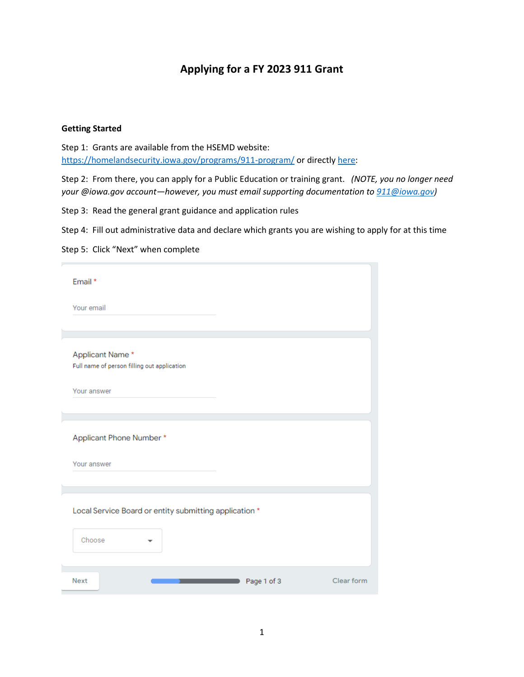## **Applying for a FY 2023 911 Grant**

## **Getting Started**

Step 1: Grants are available from the HSEMD website: <https://homelandsecurity.iowa.gov/programs/911-program/> or directl[y here:](https://docs.google.com/forms/d/e/1FAIpQLSfrsWo3X38lDT4eetJfyrCjUsDlT8ZhcbGjv5O4F5XkC-YuVg/viewform)

Step 2: From there, you can apply for a Public Education or training grant. *(NOTE, you no longer need your @iowa.gov account—however, you must email supporting documentation to [911@iowa.gov\)](mailto:911@iowa.gov)*

Step 3: Read the general grant guidance and application rules

Step 4: Fill out administrative data and declare which grants you are wishing to apply for at this time

Step 5: Click "Next" when complete

| Email *                                                          |            |
|------------------------------------------------------------------|------------|
| Your email                                                       |            |
|                                                                  |            |
| Applicant Name*<br>Full name of person filling out application   |            |
| Your answer                                                      |            |
|                                                                  |            |
| Applicant Phone Number *                                         |            |
| Your answer                                                      |            |
|                                                                  |            |
| Local Service Board or entity submitting application *<br>Choose |            |
| <b>Next</b><br>Page 1 of 3                                       | Clear form |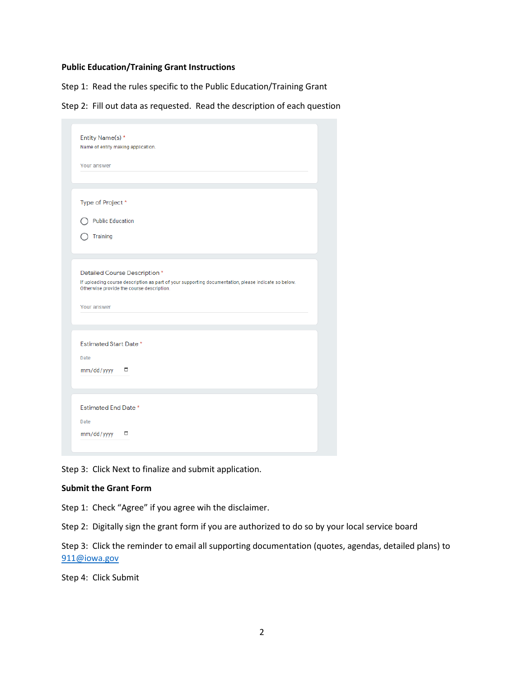## **Public Education/Training Grant Instructions**

Step 1: Read the rules specific to the Public Education/Training Grant

Step 2: Fill out data as requested. Read the description of each question

| Entity Name(s) *<br>Name of entity making application. |                                                                                                                                                  |
|--------------------------------------------------------|--------------------------------------------------------------------------------------------------------------------------------------------------|
|                                                        |                                                                                                                                                  |
| Your answer                                            |                                                                                                                                                  |
|                                                        |                                                                                                                                                  |
| Type of Project *                                      |                                                                                                                                                  |
| <b>Public Education</b>                                |                                                                                                                                                  |
| Training                                               |                                                                                                                                                  |
|                                                        |                                                                                                                                                  |
|                                                        |                                                                                                                                                  |
| Detailed Course Description *                          |                                                                                                                                                  |
|                                                        | If uploading course description as part of your supporting documentation, please indicate so below.<br>Otherwise provide the course description. |
|                                                        |                                                                                                                                                  |
| Your answer                                            |                                                                                                                                                  |
|                                                        |                                                                                                                                                  |
| <b>Estimated Start Date *</b>                          |                                                                                                                                                  |
| Date                                                   |                                                                                                                                                  |
| mm/dd/yyyy                                             | ▭                                                                                                                                                |
|                                                        |                                                                                                                                                  |
|                                                        |                                                                                                                                                  |
| <b>Estimated End Date *</b>                            |                                                                                                                                                  |
|                                                        |                                                                                                                                                  |
| Date                                                   |                                                                                                                                                  |

Step 3: Click Next to finalize and submit application.

## **Submit the Grant Form**

Step 1: Check "Agree" if you agree wih the disclaimer.

Step 2: Digitally sign the grant form if you are authorized to do so by your local service board

Step 3: Click the reminder to email all supporting documentation (quotes, agendas, detailed plans) to [911@iowa.gov](mailto:911@iowa.gov)

Step 4: Click Submit